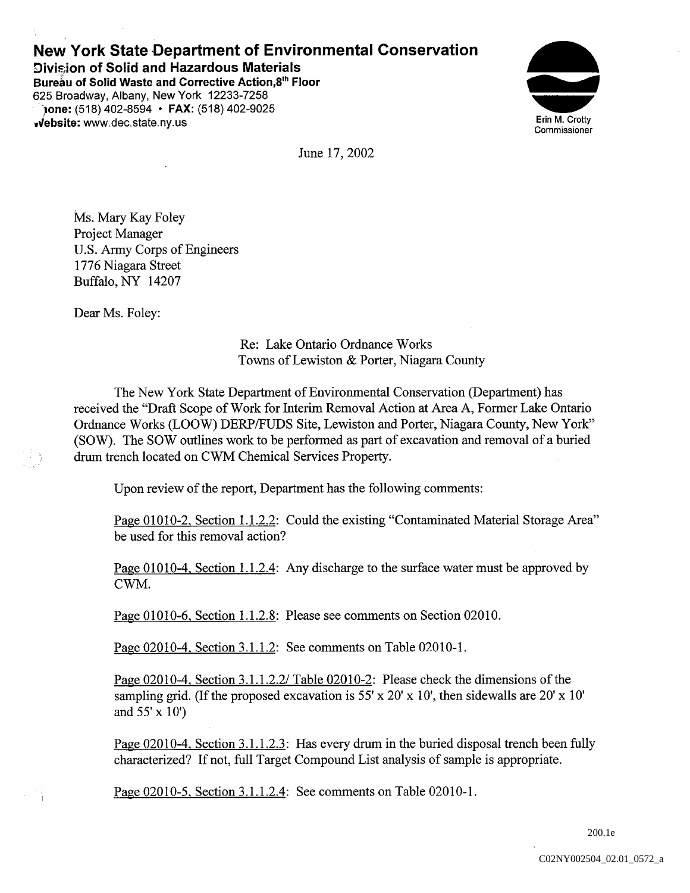## New York State Department of Environmental Conservation Division of Solid and Hazardous Materials

Bureau of Solid Waste and Corrective Action,8th Floor 625 Broadway, Albany, New York 12233-7258  $j$ one: (518) 402-8594 • FAX: (518) 402-9025 viebsite: www.dec.state.ny.us Erin M. Crotty



June 17, 2002

Ms. Mary Kay Foley Project Manager U.S Army Corps of Engineers 1776 Niagara Street Buffalo, NY 14207

Dear Ms. Foley:

- 74

Re: Lake Ontario Ordnance Works Towns of Lewiston & Porter, Niagara County

The New York State Department of Environmental Conservation (Department) has received the "Draft Scope of Work for Interim Removal Action at Area A, Former Lake Ontario Ordnance Works (LOOW) DERP/FUDS Site, Lewiston and Porter, Niagara County, New York" (SOW). The SOW outlines work to be performed as part of excavation and removal of a buried drum trench located on CWM Chemical Services Property.

Upon review of the report, Department has the following comments:

Page 01010-2, Section 1.1.2.2: Could the existing "Contaminated Material Storage Area" be used for this removal action

Page 01010-4, Section 1.1.2.4: Any discharge to the surface water must be approved by CWM

Page 01010-6, Section 1.1.2.8: Please see comments on Section 02010.

Page 02010-4, Section 3.1.1.2: See comments on Table 02010-1.

Page 02010-4, Section 3.1.1.2.2/ Table 02010-2: Please check the dimensions of the sampling grid. (If the proposed excavation is 55' x 20' x 10', then sidewalls are 20' x 10' and  $55' \times 10'$ 

<u>Page 02010-4, Section 3.1.1.2.3</u>: Has every drum in the buried disposal trench been fully characterized? If not, full Target Compound List analysis of sample is appropriate.

Page 02010-5, Section 3.1.1.2.4: See comments on Table 02010-1.

200.1e